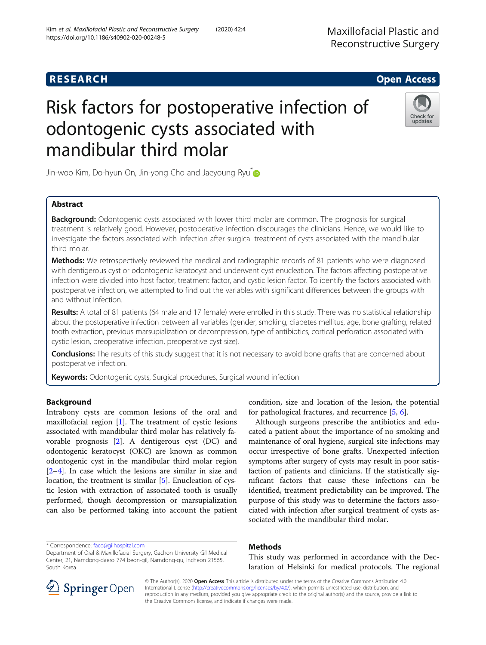# Risk factors for postoperative infection of odontogenic cysts associated with mandibular third molar



Jin-woo Kim, Do-hyun On, Jin-yong Cho and Jaeyoung Ryu<sup>t</sup>

# Abstract

**Background:** Odontogenic cysts associated with lower third molar are common. The prognosis for surgical treatment is relatively good. However, postoperative infection discourages the clinicians. Hence, we would like to investigate the factors associated with infection after surgical treatment of cysts associated with the mandibular third molar.

**Methods:** We retrospectively reviewed the medical and radiographic records of 81 patients who were diagnosed with dentigerous cyst or odontogenic keratocyst and underwent cyst enucleation. The factors affecting postoperative infection were divided into host factor, treatment factor, and cystic lesion factor. To identify the factors associated with postoperative infection, we attempted to find out the variables with significant differences between the groups with and without infection.

Results: A total of 81 patients (64 male and 17 female) were enrolled in this study. There was no statistical relationship about the postoperative infection between all variables (gender, smoking, diabetes mellitus, age, bone grafting, related tooth extraction, previous marsupialization or decompression, type of antibiotics, cortical perforation associated with cystic lesion, preoperative infection, preoperative cyst size).

Conclusions: The results of this study suggest that it is not necessary to avoid bone grafts that are concerned about postoperative infection.

Keywords: Odontogenic cysts, Surgical procedures, Surgical wound infection

# Background

Intrabony cysts are common lesions of the oral and maxillofacial region [\[1](#page-3-0)]. The treatment of cystic lesions associated with mandibular third molar has relatively favorable prognosis [\[2\]](#page-3-0). A dentigerous cyst (DC) and odontogenic keratocyst (OKC) are known as common odontogenic cyst in the mandibular third molar region [[2](#page-3-0)–[4\]](#page-3-0). In case which the lesions are similar in size and location, the treatment is similar [\[5\]](#page-3-0). Enucleation of cystic lesion with extraction of associated tooth is usually performed, though decompression or marsupialization can also be performed taking into account the patient

\* Correspondence: [face@gilhospital.com](mailto:face@gilhospital.com)

condition, size and location of the lesion, the potential for pathological fractures, and recurrence [\[5](#page-3-0), [6](#page-3-0)].

Although surgeons prescribe the antibiotics and educated a patient about the importance of no smoking and maintenance of oral hygiene, surgical site infections may occur irrespective of bone grafts. Unexpected infection symptoms after surgery of cysts may result in poor satisfaction of patients and clinicians. If the statistically significant factors that cause these infections can be identified, treatment predictability can be improved. The purpose of this study was to determine the factors associated with infection after surgical treatment of cysts associated with the mandibular third molar.

# Methods

This study was performed in accordance with the Declaration of Helsinki for medical protocols. The regional



© The Author(s). 2020 Open Access This article is distributed under the terms of the Creative Commons Attribution 4.0 International License ([http://creativecommons.org/licenses/by/4.0/\)](http://creativecommons.org/licenses/by/4.0/), which permits unrestricted use, distribution, and reproduction in any medium, provided you give appropriate credit to the original author(s) and the source, provide a link to the Creative Commons license, and indicate if changes were made.

Department of Oral & Maxillofacial Surgery, Gachon University Gil Medical Center, 21, Namdong-daero 774 beon-gil, Namdong-gu, Incheon 21565, South Korea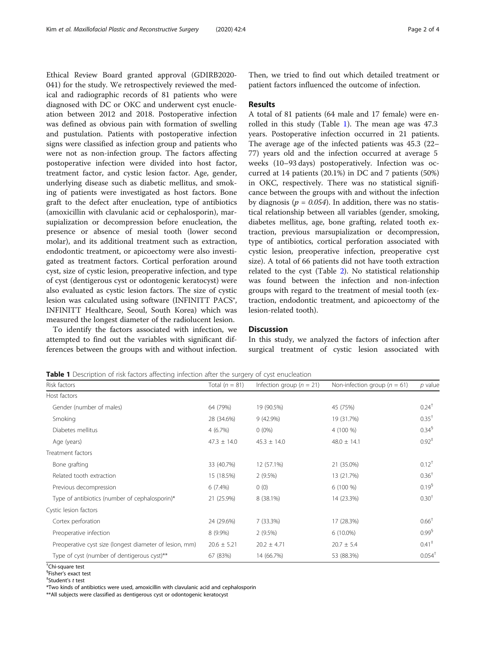Ethical Review Board granted approval (GDIRB2020- 041) for the study. We retrospectively reviewed the medical and radiographic records of 81 patients who were diagnosed with DC or OKC and underwent cyst enucleation between 2012 and 2018. Postoperative infection was defined as obvious pain with formation of swelling and pustulation. Patients with postoperative infection signs were classified as infection group and patients who were not as non-infection group. The factors affecting postoperative infection were divided into host factor, treatment factor, and cystic lesion factor. Age, gender, underlying disease such as diabetic mellitus, and smoking of patients were investigated as host factors. Bone graft to the defect after enucleation, type of antibiotics (amoxicillin with clavulanic acid or cephalosporin), marsupialization or decompression before enucleation, the presence or absence of mesial tooth (lower second molar), and its additional treatment such as extraction, endodontic treatment, or apicoectomy were also investigated as treatment factors. Cortical perforation around cyst, size of cystic lesion, preoperative infection, and type of cyst (dentigerous cyst or odontogenic keratocyst) were also evaluated as cystic lesion factors. The size of cystic lesion was calculated using software (INFINITT PACS<sup>®</sup>, INFINITT Healthcare, Seoul, South Korea) which was measured the longest diameter of the radiolucent lesion.

To identify the factors associated with infection, we attempted to find out the variables with significant differences between the groups with and without infection.

Then, we tried to find out which detailed treatment or patient factors influenced the outcome of infection.

#### Results

A total of 81 patients (64 male and 17 female) were enrolled in this study (Table 1). The mean age was 47.3 years. Postoperative infection occurred in 21 patients. The average age of the infected patients was 45.3 (22– 77) years old and the infection occurred at average 5 weeks (10–93 days) postoperatively. Infection was occurred at 14 patients (20.1%) in DC and 7 patients (50%) in OKC, respectively. There was no statistical significance between the groups with and without the infection by diagnosis ( $p = 0.054$ ). In addition, there was no statistical relationship between all variables (gender, smoking, diabetes mellitus, age, bone grafting, related tooth extraction, previous marsupialization or decompression, type of antibiotics, cortical perforation associated with cystic lesion, preoperative infection, preoperative cyst size). A total of 66 patients did not have tooth extraction related to the cyst (Table [2\)](#page-2-0). No statistical relationship was found between the infection and non-infection groups with regard to the treatment of mesial tooth (extraction, endodontic treatment, and apicoectomy of the lesion-related tooth).

### **Discussion**

In this study, we analyzed the factors of infection after surgical treatment of cystic lesion associated with

Table 1 Description of risk factors affecting infection after the surgery of cyst enucleation

| Risk factors                                            | Total $(n = 81)$ | Infection group ( $n = 21$ ) | Non-infection group ( $n = 61$ ) | $p$ value            |
|---------------------------------------------------------|------------------|------------------------------|----------------------------------|----------------------|
| Host factors                                            |                  |                              |                                  |                      |
| Gender (number of males)                                | 64 (79%)         | 19 (90.5%)                   | 45 (75%)                         | $0.24$ <sup>†</sup>  |
| Smoking                                                 | 28 (34.6%)       | 9(42.9%)                     | 19 (31.7%)                       | $0.35^{\dagger}$     |
| Diabetes mellitus                                       | 4(6.7%)          | $0(0\%)$                     | 4 (100 %)                        | $0.34^{9}$           |
| Age (years)                                             | $47.3 \pm 14.0$  | $45.3 \pm 14.0$              | $48.0 \pm 14.1$                  | $0.92^{+}$           |
| Treatment factors                                       |                  |                              |                                  |                      |
| Bone grafting                                           | 33 (40.7%)       | 12 (57.1%)                   | 21 (35.0%)                       | $0.12^{+}$           |
| Related tooth extraction                                | 15 (18.5%)       | 2(9.5%)                      | 13 (21.7%)                       | 0.36 <sup>†</sup>    |
| Previous decompression                                  | 6(7.4%)          | 0(0)                         | $6(100\%)$                       | $0.19^{5}$           |
| Type of antibiotics (number of cephalosporin)*          | 21 (25.9%)       | 8 (38.1%)                    | 14 (23.3%)                       | $0.30^{+}$           |
| Cystic lesion factors                                   |                  |                              |                                  |                      |
| Cortex perforation                                      | 24 (29.6%)       | 7(33.3%)                     | 17 (28.3%)                       | $0.66^{\dagger}$     |
| Preoperative infection                                  | $8(9.9\%)$       | 2(9.5%)                      | $6(10.0\%)$                      | $0.99^{\frac{5}{2}}$ |
| Preoperative cyst size (longest diameter of lesion, mm) | $20.6 \pm 5.21$  | $20.2 \pm 4.71$              | $20.7 \pm 5.4$                   | $0.41^+$             |
| Type of cyst (number of dentigerous cyst)**             | 67 (83%)         | 14 (66.7%)                   | 53 (88.3%)                       | $0.054^{\dagger}$    |

† Chi-square test

\*Two kinds of antibiotics were used, amoxicillin with clavulanic acid and cephalosporin

\*\*All subjects were classified as dentigerous cyst or odontogenic keratocyst

<sup>&</sup>lt;sup>§</sup>Fisher's exact test<br><sup>‡c</sup>tudent's t test

Student's t test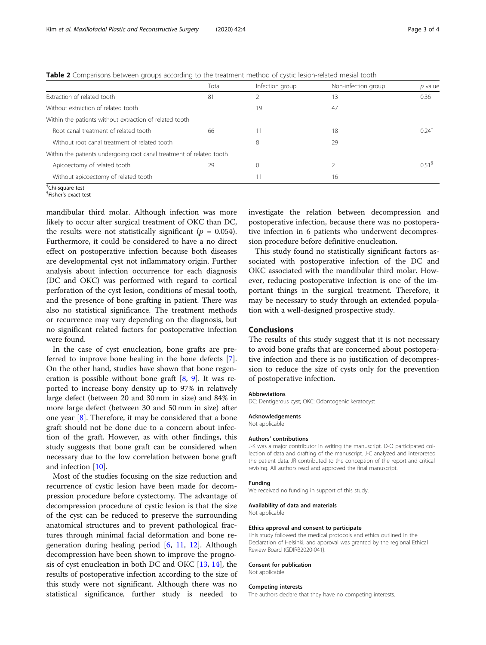<span id="page-2-0"></span>

|  | Table 2 Comparisons between groups according to the treatment method of cystic lesion-related mesial tooth |  |  |  |  |  |  |
|--|------------------------------------------------------------------------------------------------------------|--|--|--|--|--|--|
|  |                                                                                                            |  |  |  |  |  |  |

|                                                                      | Total | Infection group | Non-infection group | $p$ value           |
|----------------------------------------------------------------------|-------|-----------------|---------------------|---------------------|
| Extraction of related tooth                                          | 81    |                 | 3                   | $0.36^{\dagger}$    |
| Without extraction of related tooth                                  |       | 19              | 47                  |                     |
| Within the patients without extraction of related tooth              |       |                 |                     |                     |
| Root canal treatment of related tooth                                | 66    | 11              | 18                  | $0.24$ <sup>1</sup> |
| Without root canal treatment of related tooth                        |       | 8               | 29                  |                     |
| Within the patients undergoing root canal treatment of related tooth |       |                 |                     |                     |
| Apicoectomy of related tooth                                         | 29    | $\Omega$        |                     | 0.51 <sup>8</sup>   |
| Without apicoectomy of related tooth                                 |       | 11              | 16                  |                     |

† Chi-square test § Fisher's exact test

mandibular third molar. Although infection was more likely to occur after surgical treatment of OKC than DC, the results were not statistically significant ( $p = 0.054$ ). Furthermore, it could be considered to have a no direct effect on postoperative infection because both diseases are developmental cyst not inflammatory origin. Further analysis about infection occurrence for each diagnosis (DC and OKC) was performed with regard to cortical perforation of the cyst lesion, conditions of mesial tooth, and the presence of bone grafting in patient. There was also no statistical significance. The treatment methods or recurrence may vary depending on the diagnosis, but no significant related factors for postoperative infection were found.

In the case of cyst enucleation, bone grafts are preferred to improve bone healing in the bone defects [\[7](#page-3-0)]. On the other hand, studies have shown that bone regeneration is possible without bone graft [\[8](#page-3-0), [9](#page-3-0)]. It was reported to increase bony density up to 97% in relatively large defect (between 20 and 30 mm in size) and 84% in more large defect (between 30 and 50 mm in size) after one year [[8](#page-3-0)]. Therefore, it may be considered that a bone graft should not be done due to a concern about infection of the graft. However, as with other findings, this study suggests that bone graft can be considered when necessary due to the low correlation between bone graft and infection [[10](#page-3-0)].

Most of the studies focusing on the size reduction and recurrence of cystic lesion have been made for decompression procedure before cystectomy. The advantage of decompression procedure of cystic lesion is that the size of the cyst can be reduced to preserve the surrounding anatomical structures and to prevent pathological fractures through minimal facial deformation and bone regeneration during healing period  $[6, 11, 12]$  $[6, 11, 12]$  $[6, 11, 12]$  $[6, 11, 12]$  $[6, 11, 12]$  $[6, 11, 12]$ . Although decompression have been shown to improve the prognosis of cyst enucleation in both DC and OKC [[13](#page-3-0), [14](#page-3-0)], the results of postoperative infection according to the size of this study were not significant. Although there was no statistical significance, further study is needed to

investigate the relation between decompression and postoperative infection, because there was no postoperative infection in 6 patients who underwent decompression procedure before definitive enucleation.

This study found no statistically significant factors associated with postoperative infection of the DC and OKC associated with the mandibular third molar. However, reducing postoperative infection is one of the important things in the surgical treatment. Therefore, it may be necessary to study through an extended population with a well-designed prospective study.

### Conclusions

The results of this study suggest that it is not necessary to avoid bone grafts that are concerned about postoperative infection and there is no justification of decompression to reduce the size of cysts only for the prevention of postoperative infection.

#### **Abbreviations**

DC: Dentigerous cyst; OKC: Odontogenic keratocyst

#### Acknowledgements

Not applicable

#### Authors' contributions

J-K was a major contributor in writing the manuscript. D-O participated collection of data and drafting of the manuscript. J-C analyzed and interpreted the patient data. JR contributed to the conception of the report and critical revising. All authors read and approved the final manuscript.

#### Funding

We received no funding in support of this study.

#### Availability of data and materials

Not applicable

#### Ethics approval and consent to participate

This study followed the medical protocols and ethics outlined in the Declaration of Helsinki, and approval was granted by the regional Ethical Review Board (GDIRB2020-041).

#### Consent for publication

Not applicable

#### Competing interests

The authors declare that they have no competing interests.